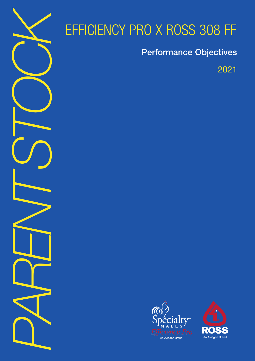

# EFFICIENCY PRO X ROSS 308 FF

Performance Objectives

2021



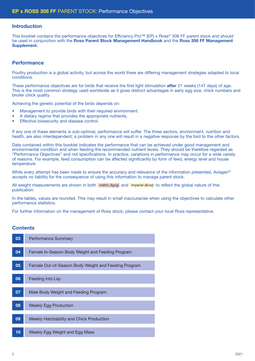#### Introduction

This booklet contains the performance objectives for Efficiency Pro™ (EP) x Ross® 308 FF parent stock and should be used in conjunction with the Ross Parent Stock Management Handbook and the Ross 308 FF Management Supplement.

#### **Performance**

Poultry production is a global activity, but across the world there are differing management strategies adapted to local conditions.

These performance objectives are for birds that receive the first light stimulation **after** 21 weeks (147 days) of age. This is the most common strategy used worldwide as it gives distinct advantages in early egg size, chick numbers and broiler chick quality.

Achieving the genetic potential of the birds depends on:

- Management to provide birds with their required environment.
- A dietary regime that provides the appropriate nutrients.
- Effective biosecurity and disease control.

If any one of these elements is sub-optimal, performance will suffer. The three sectors, environment, nutrition and health, are also interdependent; a problem in any one will result in a negative response by the bird to the other factors.

Data contained within this booklet indicates the performance that can be achieved under good management and environmental condition and when feeding the recommended nutrient levels. They should be therefore regarded as "Performance Objectives" and not specifications. In practice, variations in performance may occur for a wide variety of reasons. For example, feed consumption can be affected significantly by form of feed, energy level and house temperature.

While every attempt has been made to ensure the accuracy and relevance of the information presented. Aviagen<sup>®</sup> accepts no liability for the consequence of using this information to manage parent stock.

All weight measurements are shown in both metric (kg/g) and imperial (lb/oz) to reflect the global nature of this publication.

In the tables, values are rounded. This may result in small inaccuracies when using the objectives to calculate other performance statistics.

For further information on the management of Ross stock, please contact your local Ross representative.

#### **Contents**

| 03 | <b>Performance Summary</b>                           |
|----|------------------------------------------------------|
| 04 | Female In-Season Body Weight and Feeding Program     |
| 05 | Female Out-of-Season Body Weight and Feeding Program |
| 06 | Feeding into Lay                                     |
| 07 | Male Body Weight and Feeding Program                 |
| 08 | <b>Weekly Egg Production</b>                         |
| 09 | Weekly Hatchability and Chick Production             |
| 10 | Weekly Egg Weight and Egg Mass                       |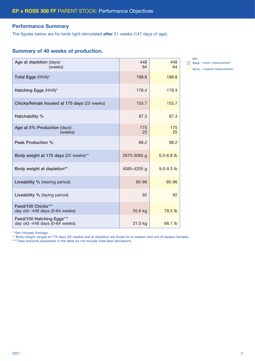#### Performance Summary

The figures below are for birds light-stimulated after 21 weeks (147 days of age).

#### Summary of 40 weeks of production.

| Age at depletion (days)<br>(weeks)                          | 448<br>64   | 448<br>64      |
|-------------------------------------------------------------|-------------|----------------|
| Total Eggs (HHA)*                                           | 188.8       | 188.8          |
| Hatching Eggs (HHA)*                                        | 178.4       | 178.4          |
| Chicks/female housed at 175 days (25 weeks)                 | 155.7       | 155.7          |
| Hatchability %                                              | 87.3        | 87.3           |
| Age at 5% Production (days)<br>(weeks)                      | 175<br>25   | 175<br>25      |
| Peak Production %                                           | 88.2        | 88.2           |
| Body weight at 175 days (25 weeks)**                        | 2970-3085 g | $6.5 - 6.8$ lb |
| Body weight at depletion**                                  | 4085-4205 g | $9.0 - 9.3$ lb |
| Liveability % (rearing period)                              | 95-96       | 95-96          |
| Liveability % (laying period)                               | 92          | 92             |
| Feed/100 Chicks***<br>day old -448 days (0-64 weeks)        | 35.6 kg     | 78.5 lb        |
| Feed/100 Hatching Eggs***<br>day old -448 days (0-64 weeks) | 31.0 kg     | 66.1 lb        |

KEY (kg/g) *– metric measurement* (lb/oz) *– imperial measurement*

\* Hen-Housed Average.

\*\* Body-weight ranges at 175 days (25 weeks) and at depletion are those for in-season and out-of-season females.

\*\*\* Feed amounts expressed in the table do not include male feed allocations.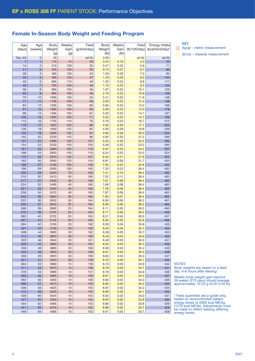#### Female In-Season Body Weight and Feeding Program

|         | Age | Age            | Body   | Weekly | Feed         | <b>Body</b> | Weekly | Feed         | Energy Intake    |
|---------|-----|----------------|--------|--------|--------------|-------------|--------|--------------|------------------|
| (days)  |     | (weeks)        | Weight | Gain   | (g/bird/day) | Weight      | Gain   | (lb/100/day) | (kcal/bird/day)* |
|         |     |                |        |        |              |             |        |              |                  |
|         |     |                | (g)    | (g)    |              | (Ib)        | (Ib)   |              |                  |
| Day old |     | $\mathbf 0$    | 40     |        | ad lib       | 0.09        |        | ad lib       | ad lib           |
|         | 7   | 1              | 115    | 75     | 20           | 0.25        | 0.16   | 4.3          | 55               |
|         | 14  | $\overline{c}$ | 215    | 100    | 25           | 0.47        | 0.22   | 5.6          | 71               |
|         | 21  | 3              | 335    | 120    | 30           | 0.74        | 0.27   | 6.7          | 85               |
|         | 28  | $\overline{4}$ | 465    | 130    | 34           | 1.03        | 0.29   | 7.5          | 95               |
|         |     |                |        |        | 37           |             | 0.26   | 8.2          |                  |
|         | 35  | 5              | 585    | 120    |              | 1.29        |        |              | 104              |
|         | 42  | 6              | 695    | 110    | 40           | 1.53        | 0.24   | 8.8          | 111              |
|         | 49  | $\overline{7}$ | 795    | 100    | 43           | 1.75        | 0.22   | 9.4          | 120              |
|         | 56  | 8              | 895    | 100    | 46           | 1.97        | 0.22   | 10.1         | 129              |
|         | 63  | 9              | 995    | 100    | 49           | 2.19        | 0.22   | 10.9         | 138              |
|         | 70  | 10             | 1095   | 100    | 53           | 2.41        | 0.22   | 11.6         | 148              |
|         | 77  | 11             | 1195   | 100    | 56           | 2.63        | 0.22   | 12.4         | 158              |
|         | 84  | 12             | 1295   | 100    | 60           | 2.85        | 0.22   | 13.2         | 168              |
|         |     |                |        |        |              |             |        |              |                  |
|         | 91  | 13             | 1395   | 100    | 63           | 3.08        | 0.23   | 14.0         | 178              |
|         | 98  | 14             | 1495   | 100    | 67           | 3.30        | 0.22   | 14.7         | 187              |
|         | 105 | 15             | 1595   | 100    | 71           | 3.52        | 0.22   | 15.7         | 199              |
|         | 112 | 16             | 1705   | 110    | 76           | 3.76        | 0.24   | 16.7         | 212              |
|         | 119 | 17             | 1825   | 120    | 80           | 4.02        | 0.26   | 17.7         | 225              |
|         | 126 | 18             | 1950   | 125    | 85           | 4.30        | 0.28   | 18.8         | 239              |
|         | 133 | 19             | 2085   | 135    | 91           | 4.60        | 0.30   | 20.0         | 254              |
|         | 140 | 20             | 2230   | 145    | 96           | 4.92        | 0.32   | 21.2         | 269              |
|         |     |                |        |        |              |             |        |              |                  |
|         | 147 | 21             | 2380   | 150    | 101          | 5.25        | 0.33   | 22.2         | 282              |
|         | 154 | 22             | 2530   | 150    | 105          | 5.58        | 0.33   | 23.2         | 295              |
|         | 161 | 23             | 2680   | 150    | 110          | 5.91        | 0.33   | 24.2         | 307              |
|         | 168 | 24             | 2830   | 150    | 116          | 6.24        | 0.33   | 25.5         | 324              |
|         | 175 | 25             | 2970   | 140    | 127          | 6.55        | 0.31   | 27.9         | 355              |
|         | 182 | 26             | 3090   | 120    | 144          | 6.81        | 0.26   | 31.7         | 403              |
|         | 189 | 27             | 3190   | 100    | 158          | 7.03        | 0.22   | 34.8         | 442              |
|         |     |                |        |        |              |             |        |              |                  |
|         | 196 | 28             | 3290   | 100    | 165          | 7.25        | 0.22   | 36.4         | 462              |
|         | 203 | 29             | 3360   | 70     | 165          | 7.41        | 0.16   | 36.4         | 462              |
|         | 210 | 30             | 3410   | 50     | 165          | 7.52        | 0.11   | 36.4         | 462              |
|         | 217 | 31             | 3450   | 40     | 165          | 7.61        | 0.09   | 36.4         | 462              |
|         | 224 | 32             | 3490   | 40     | 165          | 7.69        | 0.08   | 36.4         | 462              |
|         | 231 | 33             | 3530   | 40     | 165          | 7.78        | 0.09   | 36.4         | 462              |
|         | 238 | 34             | 3570   | 40     | 165          | 7.87        | 0.09   | 36.4         | 462              |
|         | 245 | 35             | 3600   | 30     | 165          | 7.94        | 0.07   | 36.4         | 462              |
|         |     |                |        |        |              |             |        |              |                  |
|         | 252 | 36             | 3630   | 30     | 164          | 8.00        | 0.06   | 36.3         | 461              |
|         | 259 | 37             | 3655   | 25     | 164          | 8.06        | 0.06   | 36.2         | 460              |
|         | 266 | 38             | 3680   | 25     | 164          | 8.11        | 0.05   | 36.2         | 460              |
|         | 273 | 39             | 3705   | 25     | 164          | 8.17        | 0.06   | 36.0         | 458              |
|         | 280 | 40             | 3725   | 20     | 163          | 8.21        | 0.04   | 36.0         | 457              |
|         | 287 | 41             | 3745   | 20     | 163          | 8.26        | 0.05   | 35.9         | 456              |
|         | 294 | 42             | 3765   | 20     | 162          | 8.30        | 0.04   | 35.8         | 455              |
|         |     |                |        |        |              |             |        |              |                  |
|         | 301 | 43             | 3785   | 20     | 162          | 8.34        | 0.04   | 35.7         | 454              |
|         | 308 | 44             | 3805   | 20     | 162          | 8.39        | 0.05   | 35.7         | 453              |
|         | 315 | 45             | 3825   | 20     | 162          | 8.43        | 0.04   | 35.6         | 452              |
|         | 322 | 46             | 3845   | 20     | 161          | 8.48        | 0.05   | 35.5         | 451              |
|         | 329 | 47             | 3865   | 20     | 161          | 8.52        | 0.04   | 35.4         | 450              |
|         | 336 | 48             | 3885   | 20     | 160          | 8.56        | 0.04   | 35.4         | 449              |
|         | 343 | 49             | 3905   | 20     | 160          | 8.61        | 0.05   | 35.3         | 448              |
|         |     |                |        |        |              |             |        |              | 447              |
|         | 350 | 50             | 3925   | 20     | 160          | 8.65        | 0.04   | 35.2         |                  |
|         | 357 | 51             | 3945   | 20     | 159          | 8.70        | 0.05   | 35.1         | 445              |
|         | 364 | 52             | 3960   | 15     | 158          | 8.73        | 0.03   | 34.9         | 444              |
|         | 371 | 53             | 3975   | 15     | 158          | 8.76        | 0.03   | 34.7         | 441              |
|         | 378 | 54             | 3985   | $10$   | 157          | 8.79        | 0.03   | 34.6         | 439              |
|         | 385 | 55             | 3995   | 10     | 156          | 8.81        | 0.02   | 34.4         | 437              |
|         | 392 | 56             | 4005   | 10     | 156          | 8.83        | 0.02   | 34.3         | 436              |
|         | 399 | 57             | 4015   | 10     | 155          | 8.85        | 0.02   | 34.2         | 435              |
|         |     |                |        |        |              |             |        |              |                  |
|         | 406 | 58             | 4025   | 10     | 155          | 8.87        | 0.02   | 34.2         | 434              |
|         | 413 | 59             | 4035   | 10     | 155          | 8.90        | 0.03   | 34.1         | 433              |
|         | 420 | 60             | 4045   | 10     | 154          | 8.92        | 0.02   | 34.0         | 431              |
|         | 427 | 61             | 4055   | 10     | 154          | 8.94        | 0.02   | 33.9         | 430              |
|         | 434 | 62             | 4065   | 10     | 153          | 8.96        | 0.02   | 33.8         | 429              |
|         | 441 | 63             | 4075   | 10     | 153          | 8.98        | 0.02   | 33.7         | 428              |
|         | 448 | 64             | 4085   | 10     | 153          | 9.01        | 0.03   | 33.7         | 428              |
|         |     |                |        |        |              |             |        |              |                  |

**KEY** 

*(kg/g) – metric measurement (lb/oz) – imperial measurement*

*NOTES*

*Body weights are based on a feed day, 4-6 hours after feeding.*

*Weekly body-weight gain beyond 39 weeks (273 days) should average approximately 10-20 g (0.02-0.05 lb).*

\* Feed quantities are a guide only, based on recommended dietary energy levels of 2800 kcal ME/kg (1270 kcal ME/lb). Adjustments must be made to reflect feeding differing energy levels.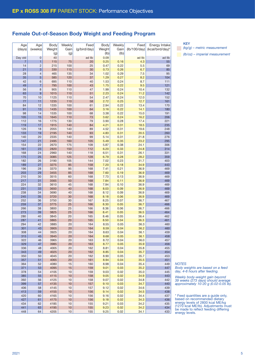#### Female Out-of-Season Body Weight and Feeding Program

| Age            | Age            | Body          | Weekly      | Feed         | Body           | Weekly       | Feed         | Energy Intake    |
|----------------|----------------|---------------|-------------|--------------|----------------|--------------|--------------|------------------|
| (days)         | (weeks)        | Weight<br>(g) | Gain<br>(g) | (g/bird/day) | Weight<br>(Ib) | Gain<br>(lb) | (lb/100/day) | (kcal/bird/day)* |
| Day old        | $\mathbf 0$    | 40            |             | ad lib       | 0.09           |              | ad lib       | ad lib           |
| $\overline{7}$ | 1              | 115           | 75          | 20           | 0.25           | 0.16         | 4.3          | 55               |
| 14             | $\overline{c}$ | 215           | 100         | 25           | 0.47           | 0.22         | 5.5          | 69               |
| 21             | 3              | 330           | 115         | 30           | 0.73           | 0.26         | 6.7          | 85               |
| 28             | $\overline{4}$ | 465           | 135         | 34           | 1.02           | 0.29         | 7.5          | 95               |
| 35<br>42       | 5              | 585           | 120         | 37<br>40     | 1.29           | 0.27         | 8.2          | 104              |
| 49             | 6<br>7         | 695<br>795    | 110<br>100  | 43           | 1.53<br>1.75   | 0.24<br>0.22 | 8.7<br>9.5   | 111<br>121       |
| 56             | 8              | 905           | 110         | 47           | 1.99           | 0.24         | 10.4         | 132              |
| 63             | 9              | 1015          | 110         | 51           | 2.23           | 0.24         | 11.2         | 142              |
| 70             | 10             | 1125          | 110         | 54           | 2.47           | 0.24         | 12.0         | 152              |
| 77             | 11             | 1235          | 110         | 58           | 2.72           | 0.25         | 12.7         | 161              |
| 84             | 12             | 1335          | 100         | 61           | 2.94           | 0.22         | 13.4         | 170              |
| 91             | 13             | 1435          | 100         | 64           | 3.16           | 0.22         | 14.1         | 180              |
| 98             | 14             | 1535          | 100         | 68           | 3.38           | 0.22         | 15.0         | 191              |
| 105            | 15             | 1645          | 110         | 73           | 3.62           | 0.24         | 16.2         | 206              |
| 112            | 16             | 1775          | 130         | 79           | 3.90           | 0.28         | 17.4         | 221              |
| 119            | 17             | 1915          | 140         | 84           | 4.21           | 0.31         | 18.5         | 235              |
| 126            | 18             | 2055          | 140         | 89           | 4.52           | 0.31         | 19.6         | 248              |
| 133            | 19             | 2195          | 140         | 93           | 4.83           | 0.31         | 20.5         | 260              |
| 140            | 20             | 2335          | 140         | 99           | 5.14           | 0.31         | 21.8         | 276              |
| 147            | 21             | 2495          | 160         | 105          | 5.49           | 0.35         | 23.2         | 295              |
| 154            | 22             | 2670          | 175         | 109          | 5.87           | 0.38         | 24.1         | 306              |
| 161            | 23             | 2820          | 150         | 112          | 6.20           | 0.33         | 24.8         | 314              |
| 168            | 24             | 2960          | 140         | 118          | 6.51           | 0.31         | 26.1         | 331              |
| 175            | 25             | 3085          | 125         | 128          | 6.79           | 0.28         | 28.2         | 359              |
| 182            | 26             | 3190          | 105         | 144          | 7.02           | 0.23         | 31.7         | 403              |
| 189            | 27             | 3275          | 85          | 158          | 7.20           | 0.18         | 34.9         | 443              |
| 196<br>203     | 28<br>29       | 3370<br>3455  | 95<br>85    | 168<br>168   | 7.41<br>7.60   | 0.21         | 36.9<br>36.9 | 469<br>469       |
| 210            | 30             | 3515          | 60          | 168          | 7.73           | 0.19<br>0.13 | 36.9         | 469              |
| 217            | 31             | 3565          | 50          | 168          | 7.84           | 0.11         | 36.9         | 469              |
| 224            | 32             | 3610          | 45          | 168          | 7.94           | 0.10         | 36.9         | 469              |
| 231            | 33             | 3650          | 40          | 168          | 8.03           | 0.09         | 36.9         | 469              |
| 238            | 34             | 3690          | 40          | 168          | 8.12           | 0.09         | 36.9         | 469              |
| 245            | 35             | 3720          | 30          | 168          | 8.18           | 0.06         | 36.9         | 469              |
| 252            | 36             | 3750          | 30          | 167          | 8.25           | 0.07         | 36.7         | 467              |
| 259            | 37             | 3775          | 25          | 166          | 8.30           | 0.05         | 36.7         | 466              |
| 266            | 38             | 3800          | 25          | 166          | 8.36           | 0.06         | 36.7         | 466              |
| 273            | 39             | 3825          | 25          | 166          | 8.41           | 0.05         | 36.5         | 464              |
| 280            | 40             | 3845          | 20          | 165          | 8.46           | 0.05         | 36.4         | 462              |
| 287            | 41             | 3865          | 20          | 165          | 8.50           | 0.04         | 36.3         | 461              |
| 294            | 42             | 3885          | 20          | 164          | 8.55           | 0.05         | 36.3         | 460              |
| 301            | 43             | 3905          | 20<br>20    | 164          | 8.59           | 0.04         | 36.2         | 460              |
| 308<br>315     | 44<br>45       | 3925<br>3945  | 20          | 164<br>164   | 8.63<br>8.68   | 0.04<br>0.05 | 36.1<br>36.1 | 459<br>458       |
| 322            | 46             | 3965          | 20          | 163          | 8.72           | 0.04         | 36.0         | 457              |
| 329            | 47             | 3985          | 20          | 163          | 8.77           | 0.05         | 35.9         | 456              |
| 336            | 48             | 4005          | 20          | 162          | 8.81           | 0.04         | 35.8         | 455              |
| 343            | 49             | 4025          | 20          | 162          | 8.85           | 0.04         | 35.7         | 454              |
| 350            | 50             | 4045          | 20          | 162          | 8.90           | 0.05         | 35.7         | 453              |
| 357            | 51             | 4065          | 20          | 161          | 8.94           | 0.04         | 35.5         | 451              |
| 364            | 52             | 4080          | 15          | 160          | 8.98           | 0.04         | 35.4         | 449              |
| 371            | 53             | 4095          | 15          | 159          | 9.01           | 0.03         | 35.2         | 447              |
| 378            | 54             | 4105          | 10          | 159          | 9.03           | 0.02         | 35.0         | 445              |
| 385            | 55             | 4115          | 10          | 158          | 9.05           | 0.02         | 34.9         | 443              |
| 392            | 56             | 4125          | 10          | 158          | 9.07           | 0.02         | 34.8         | 442              |
| 399            | 57             | 4135          | 10          | 157          | 9.10           | 0.03         | 34.7         | 440              |
| 406            | 58             | 4145          | 10          | 157          | 9.12           | 0.02         | 34.6         | 439              |
| 413            | 59             | 4155          | 10          | 156          | 9.14           | 0.02         | 34.5         | 438              |
| 420            | 60             | 4165          | 10          | 156          | 9.16           | 0.02         | 34.4         | 437              |
| 427            | 61             | 4175          | 10          | 156          | 9.18           | 0.02         | 34.3         | 436              |
| 434<br>441     | 62<br>63       | 4185<br>4195  | 10<br>10    | 155<br>155   | 9.21<br>9.23   | 0.03<br>0.02 | 34.2<br>34.2 | 435<br>434       |
| 448            | 64             | 4205          | 10          | 155          | 9.25           | 0.02         | 34.1         | 433              |
|                |                |               |             |              |                |              |              |                  |

KEY *(kg/g) – metric measurement (lb/oz) – imperial measurement*

*NOTES*

*Body weights are based on a feed day, 4-6 hours after feeding.*

*Weekly body-weight gain beyond 39 weeks (273 days) should average approximately 10-20 g (0.02-0.05 lb).*

\* Feed quantities are a guide only, based on recommended dietary energy levels of 2800 kcal ME/kg (1270 kcal ME/lb). Adjustments must be made to reflect feeding differing energy levels.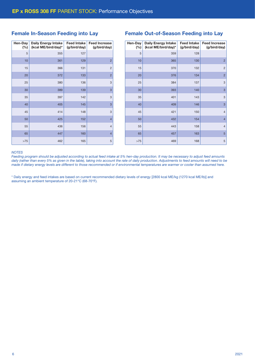#### Female In-Season Feeding into Lay

| Hen-Day<br>(%) | <b>Daily Energy Intake</b><br>(kcal ME/bird/day)* | <b>Feed Intake</b><br>(g/bird/day) | <b>Feed Increase</b><br>(g/bird/day) |
|----------------|---------------------------------------------------|------------------------------------|--------------------------------------|
| 5              | 355                                               | 127                                |                                      |
| 10             | 361                                               | 129                                | $\overline{2}$                       |
| 15             | 366                                               | 131                                | $\overline{2}$                       |
| 20             | 372                                               | 133                                | $\overline{2}$                       |
| 25             | 380                                               | 136                                | 3                                    |
| 30             | 389                                               | 139                                | 3                                    |
| 35             | 397                                               | 142                                | 3                                    |
| 40             | 405                                               | 145                                | 3                                    |
| 45             | 414                                               | 148                                | 3                                    |
| 50             | 425                                               | 152                                | $\overline{4}$                       |
| 55             | 436                                               | 156                                | $\overline{4}$                       |
| 65             | 447                                               | 160                                | $\overline{4}$                       |
| $>75$          | 462                                               | 165                                | 5                                    |

### Female Out-of-Season Feeding into Lay

| Hen-Day | <b>Daily Energy Intake</b> | <b>Feed Intake</b> | <b>Feed Increase</b> |
|---------|----------------------------|--------------------|----------------------|
| (%)     | (kcal ME/bird/day)*        | (g/bird/day)       | (g/bird/day)         |
| 5       | 359                        | 128                |                      |
| 10      | 365                        | 130                | $\overline{2}$       |
| 15      | 370                        | 132                | $\overline{c}$       |
| 20      | 376                        | 134                | $\overline{2}$       |
| 25      | 384                        | 137                | 3                    |
| 30      | 393                        | 140                | 3                    |
| 35      | 401                        | 143                | 3                    |
| 40      | 409                        | 146                | 3                    |
| 45      | 421                        | 150                | $\overline{4}$       |
| 50      | 432                        | 154                | $\overline{4}$       |
| 55      | 443                        | 158                | $\overline{4}$       |
| 65      | 457                        | 163                | 5                    |
| >75     | 469                        | 168                | 5                    |

#### *NOTES*

*Feeding program should be adjusted according to actual feed intake at 5% hen-day production. It may be necessary to adjust feed amounts*  daily (rather than every 5% as given in the table), taking into account the rate of daily production. Adjustments to feed amounts will need to be *made if dietary energy levels are different to those recommended or if environmental temperatures are warmer or cooler than assumed here.*

\* Daily energy and feed intakes are based on current recommended dietary levels of energy [2800 kcal ME/kg (1270 kcal ME/lb)] and assuming an ambient temperature of 20-21°C (68-70°F).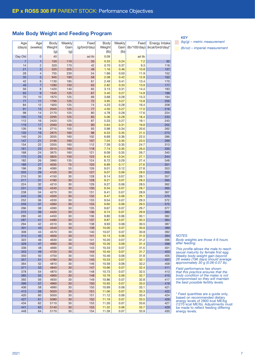#### Male Body Weight and Feeding Program

| Age            | Age            | Body   | Weekly | Feed         | Body   | Weekly | Feed         | Energy Intake    |
|----------------|----------------|--------|--------|--------------|--------|--------|--------------|------------------|
| (days)         | (weeks)        | Weight | Gain   | (g/bird/day) | Weight | Gain   | (lb/100/day) | (kcal/bird/day)* |
|                |                |        |        |              | (lb)   | (Ib)   |              |                  |
|                |                | (g)    | (g)    |              |        |        |              |                  |
| Day Old        | $\overline{0}$ | 40     |        | ad lib       | 0.09   |        | ad lib       |                  |
| $\overline{7}$ | 1              | 150    | 110    | 33           | 0.33   | 0.24   | 7.2          | 92               |
| 14             | $\overline{c}$ | 320    | 170    | 42           | 0.70   | 0.37   | 9.3          | 118              |
|                |                |        |        |              |        |        |              |                  |
| 21             | 3              | 525    | 205    | 49           | 1.16   | 0.46   | 10.8         | 137              |
| 28             | 4              | 755    | 230    | 54           | 1.66   | 0.50   | 11.9         | 152              |
| 35             | 5              | 945    | 190    | 58           | 2.08   | 0.42   | 12.8         | 162              |
| 42             | 6              | 1130   | 185    | 61           | 2.49   | 0.41   | 13.4         | 170              |
| 49             | $\overline{7}$ | 1280   | 150    | 63           | 2.82   | 0.33   | 13.9         | 177              |
| 56             | 8              | 1420   | 140    | 65           | 3.13   | 0.31   | 14.4         | 183              |
| 63             | 9              | 1545   |        |              |        |        |              |                  |
|                |                |        | 125    | 67           | 3.40   | 0.27   | 14.8         | 188              |
| 70             | 10             | 1670   | 125    | 69           | 3.68   | 0.28   | 15.3         | 194              |
| 77             | 11             | 1795   | 125    | 72           | 3.95   | 0.27   | 15.8         | 200              |
| 84             | 12             | 1920   | 125    | 74           | 4.23   | 0.28   | 16.4         | 208              |
| 91             | 13             | 2045   | 125    | 77           | 4.50   | 0.27   | 17.0         | 216              |
| 98             | 14             | 2170   | 125    | 80           | 4.78   | 0.28   | 17.6         | 224              |
| 105            | 15             | 2295   | 125    | 83           | 5.06   | 0.28   | 18.4         | 233              |
| 112            | 16             | 2420   | 125    | 87           | 5.33   | 0.27   | 19.1         | 243              |
|                |                |        |        |              |        |        |              |                  |
| 119            | 17             | 2560   | 140    | 90           | 5.64   | 0.31   | 19.8         | 252              |
| 126            | 18             | 2715   | 155    | 93           | 5.98   | 0.34   | 20.6         | 262              |
| 133            | 19             | 2875   | 160    | 98           | 6.33   | 0.35   | 21.5         | 273              |
| 140            | 20             | 3035   | 160    | 102          | 6.69   | 0.36   | 22.5         | 286              |
| 147            | 21             | 3195   | 160    | 107          | 7.04   | 0.35   | 23.5         | 299              |
| 154            | 22             | 3355   | 160    | 112          | 7.39   | 0.35   | 24.7         | 313              |
| 161            | 23             | 3515   | 160    | 118          | 7.74   | 0.35   | 26.0         | 330              |
| 168            | 24             | 3675   | 160    | 121          | 8.09   | 0.35   | 26.7         | 340              |
|                |                |        |        |              |        |        |              |                  |
| 175            | 25             | 3825   | 150    | 123          | 8.43   | 0.34   | 27.1         | 344              |
| 182            | 26             | 3960   | 135    | 124          | 8.72   | 0.29   | 27.4         | 348              |
| 189            | 27             | 4035   | 75     | 125          | 8.89   | 0.17   | 27.6         | 351              |
| 196            | 28             | 4090   | 55     | 126          | 9.01   | 0.12   | 27.8         | 353              |
| 203            | 29             | 4120   | 30     | 127          | 9.07   | 0.06   | 28.0         | 355              |
| 210            | 30             | 4150   | 30     | 128          | 9.14   | 0.07   | 28.1         | 357              |
| 217            | 31             | 4180   | 30     | 128          | 9.21   | 0.07   | 28.3         | 360              |
| 224            | 32             | 4210   | 30     | 129          | 9.27   | 0.06   | 28.5         | 362              |
| 231            | 33             | 4240   | 30     | 130          | 9.34   | 0.07   | 28.7         | 365              |
|                |                |        |        |              |        |        |              |                  |
| 238            | 34             | 4270   | 30     | 131          | 9.41   | 0.07   | 28.9         | 367              |
| 245            | 35             | 4300   | 30     | 132          | 9.47   | 0.06   | 29.1         | 370              |
| 252            | 36             | 4330   | 30     | 133          | 9.54   | 0.07   | 29.3         | 372              |
| 259            | 37             | 4360   | 30     | 134          | 9.60   | 0.06   | 29.5         | 375              |
| 266            | 38             | 4390   | 30     | 135          | 9.67   | 0.07   | 29.7         | 377              |
| 273            | 39             | 4420   | 30     | 136          | 9.74   | 0.07   | 29.9         | 380              |
| 280            | 40             | 4450   | 30     | 136          | 9.80   | 0.06   | 30.1         | 382              |
| 287            | 41             | 4480   | 30     | 137          | 9.87   | 0.07   | 30.3         | 384              |
| 294            | 42             | 4510   | 30     | 138          | 9.93   | 0.06   | 30.5         | 387              |
|                |                |        |        |              |        |        |              |                  |
| 301            | 43             | 4540   | 30     | 139          | 10.00  | 0.07   | 30.6         | 389              |
| 308            | 44             | 4570   | 30     | 140          | 10.07  | 0.07   | 30.8         | 392              |
| 315            | 45             | 4600   | 30     | 141          | 10.13  | 0.06   | 31.0         | 394              |
| 322            | 46             | 4630   | 30     | 141          | 10.20  | 0.07   | 31.2         | 396              |
| 329            | 47             | 4660   | 30     | 142          | 10.26  | 0.06   | 31.4         | 398              |
| 336            | 48             | 4690   | 30     | 143          | 10.33  | 0.07   | 31.5         | 401              |
| 343            | 49             | 4720   | 30     | 144          | 10.40  | 0.07   | 31.7         | 403              |
| 350            | 50             | 4750   | 30     | 145          | 10.46  | 0.06   | 31.9         | 405              |
|                |                |        |        |              |        |        |              |                  |
| 357            | 51             | 4780   | 30     | 145          | 10.53  | 0.07   | 32.1         | 407              |
| 364            | 52             | 4810   | 30     | 146          | 10.59  | 0.06   | 32.2         | 409              |
| 371            | 53             | 4840   | 30     | 147          | 10.66  | 0.07   | 32.4         | 411              |
| 378            | 54             | 4870   | 30     | 148          | 10.73  | 0.07   | 32.5         | 413              |
| 385            | 55             | 4900   | 30     | 148          | 10.79  | 0.06   | 32.7         | 415              |
| 392            | 56             | 4930   | 30     | 149          | 10.86  | 0.07   | 32.8         | 417              |
| 399            | 57             | 4960   | 30     | 150          | 10.93  | 0.07   | 33.0         | 419              |
| 406            | 58             | 4990   | 30     | 150          | 10.99  | 0.06   | 33.1         | 421              |
| 413            |                | 5020   |        | 151          |        |        |              |                  |
|                | 59             |        | 30     |              | 11.06  | 0.07   | 33.3         | 422              |
| 420            | 60             | 5050   | 30     | 151          | 11.12  | 0.06   | 33.4         | 424              |
| 427            | 61             | 5080   | 30     | 152          | 11.19  | 0.07   | 33.5         | 426              |
| 434            | 62             | 5110   | 30     | 153          | 11.26  | 0.07   | 33.6         | 427              |
| 441            | 63             | 5140   | 30     | 153          | 11.32  | 0.06   | 33.7         | 429              |
| 448            | 64             | 5170   | 30     | 154          | 11.39  | 0.07   | 33.9         | 430              |

KEY

*(kg/g) – metric measurement (lb/oz) – imperial measurement*

*NOTES Body weights are those 4-6 hours after feeding.*

*This profile allows the male to reach sexual maturity by female first egg. Weekly body-weight gain beyond 28 weeks (196 days) should average approximately 30 g (0.06-0.07 lb).*

*Field performance has shown that this practice ensures that the body condition of the males is not compromised so they will maintain the best possible fertility levels.*

\* Feed quantities are a guide only, based on recommended dietary energy levels of 2800 kcal ME/kg (1270 kcal ME/lb). Adjustments must be made to reflect feeding differing energy levels.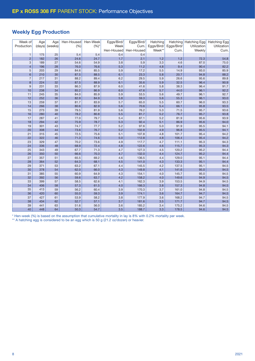## Weekly Egg Production

| Week of        | Age    | Age     | Hen-Housed | Hen-Week | Eggs/Bird/ | Eggs/Bird/ | Hatching   |            | Hatching Hatching Egg | <b>Hatching Egg</b> |
|----------------|--------|---------|------------|----------|------------|------------|------------|------------|-----------------------|---------------------|
| Production     | (days) | (weeks) | (%)        | $(%)^*$  | Week       | Cum.       | Eggs/Bird/ | Eggs/Bird/ | Utilization           | Utilization         |
|                |        |         |            |          | Hen-Housed | Hen-Housed | Week**     | Cum.       | Weekly                | Cum.                |
| $\mathbf{1}$   | 175    | 25      | 5.4        | 5.4      | 0.4        | 0.4        |            |            |                       |                     |
| $\overline{2}$ | 182    | 26      | 24.6       | 24.7     | 1.7        | 2.1        | 1.2        | 1.2        | 72.3                  | 54.8                |
| $\sqrt{3}$     | 189    | 27      | 54.6       | 54.9     | 3.8        | 5.9        | 3.3        | 4.6        | 87.0                  | 75.0                |
| $\overline{4}$ | 196    | 28      | 76.0       | 76.6     | 5.3        | 11.2       | 4.8        | 9.4        | 90.4                  | 82.2                |
| 5              | 203    | 29      | 84.6       | 85.5     | 5.9        | 17.2       | 5.5        | 14.9       | 93.0                  | 85.9                |
| $6\phantom{1}$ | 210    | 30      | 87.5       | 88.5     | 6.1        | 23.3       | 5.8        | 20.7       | 94.8                  | 88.2                |
| $\overline{7}$ | 217    | 31      | 88.2       | 89.4     | 6.2        | 29.5       | 5.9        | 26.6       | 95.6                  | 89.8                |
| 8              | 224    | 32      | 87.5       | 88.9     | 6.1        | 35.6       | 5.9        | 32.5       | 96.4                  | 90.9                |
| $\overline{9}$ | 231    | 33      | 86.3       | 87.9     | 6.0        | 41.6       | 5.8        | 38.3       | 96.4                  | 91.7                |
| 10             | 238    | 34      | 85.2       | 86.9     | 6.0        | 47.6       | 5.7        | 44.0       | 96.1                  | 92.2                |
| 11             | 245    | 35      | 84.0       | 85.9     | 5.9        | 53.5       | 5.6        | 49.7       | 96.1                  | 92.7                |
| 12             | 252    | 36      | 82.9       | 84.9     | 5.8        | 59.3       | 5.6        | 55.3       | 96.1                  | 93.0                |
| 13             | 259    | 37      | 81.7       | 83.9     | 5.7        | 65.0       | 5.5        | 60.7       | 96.0                  | 93.3                |
| 14             | 266    | 38      | 80.6       | 82.9     | 5.6        | 70.6       | 5.4        | 66.1       | 95.8                  | 93.5                |
| 15             | 273    | 39      | 79.5       | 81.9     | 5.6        | 76.2       | 5.3        | 71.5       | 95.7                  | 93.6                |
| 16             | 280    | 40      | 78.2       | 80.8     | 5.5        | 81.7       | 5.2        | 76.7       | 95.7                  | 93.8                |
| 17             | 287    | 41      | 77.0       | 79.7     | 5.4        | 87.1       | 5.2        | 81.9       | 95.6                  | 93.9                |
| 18             | 294    | 42      | 75.9       | 78.7     | 5.3        | 92.4       | 5.1        | 86.9       | 95.6                  | 94.0                |
| 19             | 301    | 43      | 74.7       | 77.7     | 5.2        | 97.6       | 5.0        | 91.9       | 95.5                  | 94.1                |
| 20             | 308    | 44      | 73.6       | 76.7     | 5.2        | 102.8      | 4.9        | 96.8       | 95.5                  | 94.1                |
| 21             | 315    | 45      | 72.5       | 75.6     | 5.1        | 107.8      | 4.8        | 101.7      | 95.4                  | 94.2                |
| 22             | 322    | 46      | 71.3       | 74.6     | 5.0        | 112.8      | 4.8        | 106.4      | 95.4                  | 94.2                |
| 23             | 329    | 47      | 70.2       | 73.6     | 4.9        | 117.7      | 4.7        | 111.1      | 95.3                  | 94.3                |
| 24             | 336    | 48      | 68.9       | 72.4     | 4.8        | 122.6      | 4.6        | 115.7      | 95.3                  | 94.3                |
| 25             | 343    | 49      | 67.7       | 71.3     | 4.7        | 127.3      | 4.5        | 120.2      | 95.2                  | 94.4                |
| 26             | 350    | 50      | 66.6       | 70.3     | 4.7        | 132.0      | 4.4        | 124.7      | 95.2                  | 94.4                |
| 27             | 357    | 51      | 65.5       | 69.2     | 4.6        | 136.5      | 4.4        | 129.0      | 95.1                  | 94.4                |
| 28             | 364    | 52      | 64.3       | 68.1     | 4.5        | 141.0      | 4.3        | 133.3      | 95.1                  | 94.4                |
| 29             | 371    | 53      | 63.2       | 67.1     | 4.4        | 145.5      | 4.2        | 137.5      | 95.1                  | 94.5                |
| 30             | 378    | 54      | 62.0       | 66.0     | 4.3        | 149.8      | 4.1        | 141.6      | 95.0                  | 94.5                |
| 31             | 385    | 55      | 60.9       | 64.9     | 4.3        | 154.1      | 4.0        | 145.7      | 95.0                  | 94.5                |
| 32             | 392    | 56      | 59.6       | 63.7     | 4.2        | 158.2      | 4.0        | 149.6      | 94.9                  | 94.5                |
| 33             | 399    | 57      | 58.5       | 62.6     | 4.1        | 162.3      | 3.9        | 153.5      | 94.9                  | 94.5                |
| 34             | 406    | 58      | 57.3       | 61.5     | 4.0        | 166.3      | 3.8        | 157.3      | 94.8                  | 94.5                |
| 35             | 413    | 59      | 56.2       | 60.4     | 3.9        | 170.3      | 3.7        | 161.0      | 94.8                  | 94.5                |
| 36             | 420    | 60      | 55.0       | 59.3     | 3.9        | 174.1      | 3.6        | 164.7      | 94.7                  | 94.5                |
| 37             | 427    | 61      | 53.9       | 58.2     | 3.8        | 177.9      | 3.6        | 168.2      | 94.7                  | 94.5                |
| 38             | 434    | 62      | 52.7       | 57.1     | 3.7        | 181.6      | 3.5        | 171.7      | 94.7                  | 94.5                |
| 39             | 441    | 63      | 51.6       | 56.0     | 3.6        | 185.2      | 3.4        | 175.2      | 94.6                  | 94.5                |
| 40             | 448    | 64      | 50.3       | 54.7     | 3.5        | 188.7      | 3.3        | 178.5      | 94.6                  | 94.5                |

\* Hen-week (%) is based on the assumption that cumulative mortality in lay is 8% with 0.2% mortality per week.

\*\* A hatching egg is considered to be an egg which is 50 g (21.2 oz/dozen) or heavier.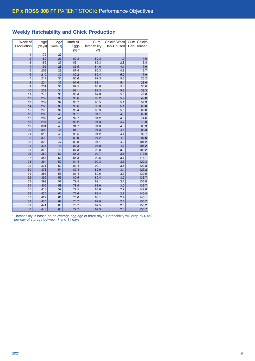# Weekly Hatchability and Chick Production

| Week of                  | Age    | Age     | Hatch All | Cum.         | Chicks/Week | Cum. Chicks |
|--------------------------|--------|---------|-----------|--------------|-------------|-------------|
| Production               | (days) | (weeks) | Eggs      | Hatchability | Hen-Housed  | Hen-Housed  |
|                          |        |         | $(%)^{*}$ | (% )         |             |             |
| 1                        | 175    | 25      |           |              |             |             |
| $\overline{2}$           | 182    | 26      | 80.3      | 80.3         | 1.0         | 1.0         |
| 3                        | 189    | 27      | 83.1      | 82.3         | 2.8         | 3.8         |
| $\overline{\mathcal{L}}$ | 196    | 28      | 85.5      | 84.0         | 4.1         | 7.9         |
| 5                        | 203    | 29      | 87.5      | 85.3         | 4.8         | 12.7        |
| $6\phantom{1}6$          | 210    | 30      | 89.2      | 86.4         | 5.2         | 17.9        |
| $\overline{7}$           | 217    | 31      | 90.6      | 87.3         | 5.3         | 23.2        |
| 8                        | 224    | 32      | 91.6      | 88.1         | 5.4         | 28.6        |
| 9                        | 231    | 33      | 92.5      | 88.8         | 5.4         | 34.0        |
| 10                       | 238    | 34      | 93.1      | 89.3         | 5.3         | 39.3        |
| 11                       | 245    | 35      | 93.4      | 89.8         | 5.3         | 44.6        |
| 12                       | 252    | 36      | 93.6      | 90.2         | 5.2         | 49.8        |
| 13                       | 259    | 37      | 93.7      | 90.5         | 5.1         | 54.9        |
| 14                       | 266    | 38      | 93.6      | 90.8         | 5.1         | 60.0        |
| 15                       | 273    | 39      | 93.4      | 90.9         | 5.0         | 65.0        |
| 16                       | 280    | 40      | 93.1      | 91.1         | 4.9         | 69.8        |
| 17                       | 287    | 41      | 92.7      | 91.2         | 4.8         | 74.6        |
| 18                       | 294    | 42      | 92.2      | 91.3         | 4.7         | 79.3        |
| 19                       | 301    | 43      | 91.7      | 91.3         | 4.6         | 83.9        |
| 20                       | 308    | 44      | 91.1      | 91.3         | 4.5         | 88.3        |
| 21                       | 315    | 45      | 90.5      | 91.2         | 4.4         | 92.7        |
| 22                       | 322    | 46      | 89.9      | 91.2         | 4.3         | 97.0        |
| 23                       | 329    | 47      | 89.3      | 91.1         | 4.2         | 101.2       |
| 24                       | 336    | 48      | 88.3      | 91.0         | 4.1         | 105.2       |
| 25                       | 343    | 49      | 87.3      | 90.8         | 3.9         | 109.2       |
| 26                       | 350    | 50      | 86.3      | 90.7         | 3.8         | 113.0       |
| 27                       | 357    | 51      | 85.3      | 90.5         | 3.7         | 116.7       |
| 28                       | 364    | 52      | 84.4      | 90.3         | 3.6         | 120.3       |
| 29                       | 371    | 53      | 83.4      | 90.1         | 3.5         | 123.8       |
| 30                       | 378    | 54      | 82.4      | 89.9         | 3.4         | 127.2       |
| 31                       | 385    | 55      | 81.4      | 89.6         | 3.3         | 130.5       |
| 32                       | 392    | 56      | 80.5      | 89.4         | 3.2         | 133.7       |
| 33                       | 399    | 57      | 79.5      | 89.1         | 3.1         | 136.8       |
| 34                       | 406    | 58      | 78.5      | 88.9         | 3.0         | 139.7       |
| 35                       | 413    | 59      | 77.5      | 88.6         | 2.9         | 142.6       |
| 36                       | 420    | 60      | 76.6      | 88.4         | 2.8         | 145.4       |
| 37                       | 427    | 61      | 75.6      | 88.1         | 2.7         | 148.1       |
| 38                       | 434    | 62      | 74.7      | 87.8         | 2.6         | 150.7       |
| 39                       | 441    | 63      | 73.7      | 87.5         | 2.5         | 153.2       |
| 40                       | 448    | 64      | 72.7      | 87.3         | 2.4         | 155.7       |

\* Hatchability is based on an average egg age of three days. Hatchability will drop by 0.5% per day of storage between 7 and 11 days.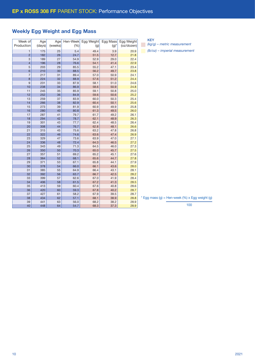# Weekly Egg Weight and Egg Mass

| Week of<br>Production | Age<br>(days) | Age<br>(weeks) | Hen-Week<br>(% ) | Egg Weight<br>(g) | Egg Mass<br>$(g)^*$ | Egg Weight<br>(oz/dozen) |
|-----------------------|---------------|----------------|------------------|-------------------|---------------------|--------------------------|
| $\mathbf{1}$          | 175           | 25             | 5.4              | 49.4              | 3.9                 | 20.9                     |
| $\overline{2}$        | 182           | 26             | 24.7             | 51.5              | 12.7                | 21.8                     |
| 3                     | 189           | 27             | 54.9             | 52.9              | 29.0                | 22.4                     |
| $\overline{4}$        | 196           | 28             | 76.6             | 54.1              | 41.4                | 22.9                     |
| 5                     | 203           | 29             | 85.5             | 55.2              | 47.1                | 23.4                     |
| 6                     | 210           | 30             | 88.5             | 56.2              | 49.7                | 23.8                     |
| 7                     | 217           | 31             | 89.4             | 57.0              | 50.9                | 24.1                     |
| 8                     | 224           | 32             | 88.9             | 57.6              | 51.2                | 24.4                     |
| 9                     | 231           | 33             | 87.9             | 58.1              | 51.0                | 24.6                     |
| 10                    | 238           | 34             | 86.9             | 58.6              | 50.9                | 24.8                     |
| 11                    | 245           | 35             | 85.9             | 59.1              | 50.8                | 25.0                     |
| 12                    | 252           | 36             | 84.9             | 59.6              | 50.6                | 25.2                     |
| 13                    | 259           | 37             | 83.9             | 60.0              | 50.3                | 25.4                     |
| 14                    | 266           | 38             | 82.9             | 60.4              | 50.1                | 25.6                     |
| 15                    | 273           | 39             | 81.9             | 60.9              | 49.9                | 25.8                     |
| 16                    | 280           | 40             | 80.8             | 61.3              | 49.5                | 26.0                     |
| 17                    | 287           | 41             | 79.7             | 61.7              | 49.2                | 26.1                     |
| 18                    | 294           | 42             | 78.7             | 62.1              | 48.9                | 26.3                     |
| 19                    | 301           | 43             | 77.7             | 62.4              | 48.5                | 26.4                     |
| 20                    | 308           | 44             | 76.7             | 62.8              | 48.1                | 26.6                     |
| 21                    | 315           | 45             | 75.6             | 63.2              | 47.8                | 26.8                     |
| 22                    | 322           | 46             | 74.6             | 63.6              | 47.4                | 26.9                     |
| 23                    | 329           | 47             | 73.6             | 63.9              | 47.0                | 27.1                     |
| 24                    | 336           | 48             | 72.4             | 64.3              | 46.5                | 27.2                     |
| 25                    | 343           | 49             | 71.3             | 64.5              | 46.0                | 27.3                     |
| 26                    | 350           | 50             | 70.3             | 65.0              | 45.7                | 27.5                     |
| 27                    | 357           | 51             | 69.2             | 65.2              | 45.1                | 27.6                     |
| 28                    | 364           | 52             | 68.1             | 65.6              | 44.7                | 27.8                     |
| 29                    | 371           | 53             | 67.1             | 65.8              | 44.1                | 27.9                     |
| 30                    | 378           | 54             | 66.0             | 66.1              | 43.6                | 28.0                     |
| 31                    | 385           | 55             | 64.9             | 66.4              | 43.1                | 28.1                     |
| 32                    | 392           | 56             | 63.7             | 66.7              | 42.5                | 28.2                     |
| 33                    | 399           | 57             | 62.6             | 67.0              | 41.9                | 28.4                     |
| 34                    | 406           | 58             | 61.5             | 67.2              | 41.3                | 28.5                     |
| 35                    | 413           | 59             | 60.4             | 67.6              | 40.8                | 28.6                     |
| 36                    | 420           | 60             | 59.3             | 67.8              | 40.2                | 28.7                     |
| 37                    | 427           | 61             | 58.2             | 67.9              | 39.5                | 28.7                     |
| 38                    | 434           | 62             | 57.1             | 68.1              | 38.9                | 28.8                     |
| 39                    | 441           | 63             | 56.0             | 68.2              | 38.2                | 28.9                     |
| 40                    | 448           | 64             | 54.7             | 68.3              | 37.3                | 28.9                     |

KEY *(kg/g) – metric measurement*

*(lb/oz) – imperial measurement*

 $*$  Egg mass (g) = Hen-week (%) x Egg weight (g)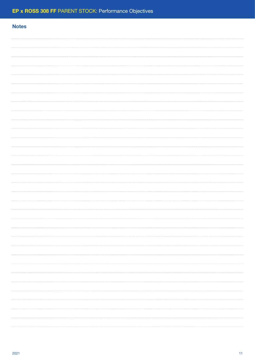# **Notes** . . . . . . . . . . . . . . .  $\cdots$